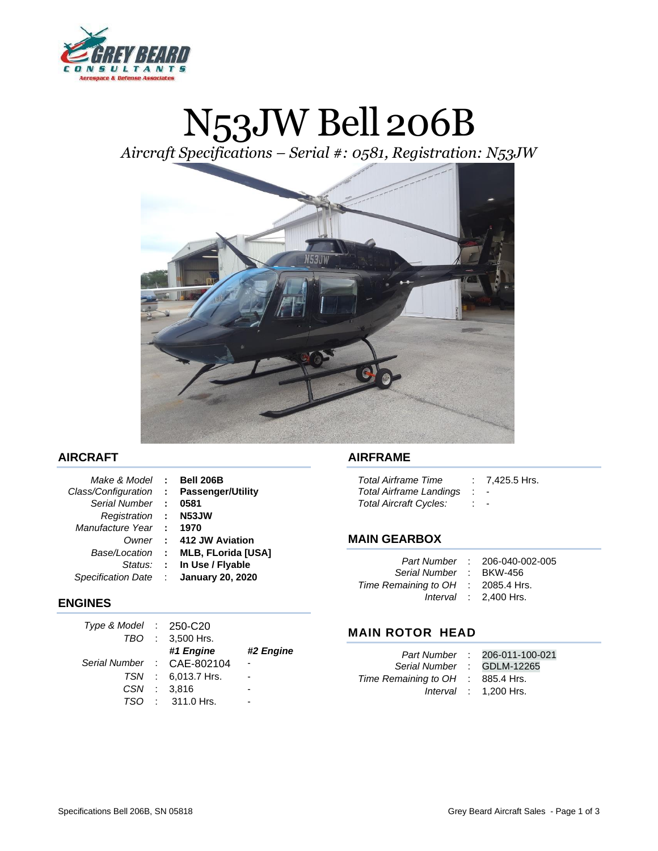

# N53JW Bell 206B

*Aircraft Specifications – Serial #: 0581, Registration: N53JW*



## **AIRCRAFT**

| Make & Model              | $\sim 10^{-1}$              | <b>Bell 206B</b>          |
|---------------------------|-----------------------------|---------------------------|
| Class/Configuration       | $\sim 10^7$                 | <b>Passenger/Utility</b>  |
| Serial Number             | $\mathcal{L}$               | 0581                      |
| Registration              | <b>COL</b>                  | N <sub>53</sub> JW        |
| Manufacture Year          | $\mathbb{R}^n$              | 1970                      |
| Owner                     | $\mathcal{L}^{\mathcal{L}}$ | 412 JW Aviation           |
| Base/Location             | $\sim$ 100                  | <b>MLB, FLorida [USA]</b> |
| Status:                   | $\sim 10^7$                 | In Use / Flyable          |
| <b>Specification Date</b> | ÷                           | <b>January 20, 2020</b>   |

#### **ENGINES**

| Type & Model $\therefore$ 250-C20 |                    |           |
|-----------------------------------|--------------------|-----------|
|                                   | TBO : 3,500 Hrs.   |           |
|                                   | #1 Engine          | #2 Engine |
| Serial Number : CAE-802104        |                    |           |
|                                   | TSN : 6,013.7 Hrs. |           |
| CSN                               | : 3.816            |           |
| TSO.                              | $: 311.0$ Hrs.     |           |

#### **AIRFRAME**

| <b>Total Airframe Time</b> | $: 7,425.5$ Hrs.         |
|----------------------------|--------------------------|
| Total Airframe Landings    | $\overline{\phantom{a}}$ |
| Total Aircraft Cycles:     | ۰                        |

## **MAIN GEARBOX**

| Serial Number :<br>Time Remaining to OH : 2085.4 Hrs. | Part Number : 206-040-002-005<br><b>BKW-456</b><br>Interval $\therefore$ 2,400 Hrs. |
|-------------------------------------------------------|-------------------------------------------------------------------------------------|
|                                                       |                                                                                     |

## **MAIN ROTOR HEAD**

|                                   | Part Number : 206-011-100-021 |
|-----------------------------------|-------------------------------|
| Serial Number : GDLM-12265        |                               |
| Time Remaining to OH : 885.4 Hrs. |                               |
|                                   | Interval $: 1,200$ Hrs.       |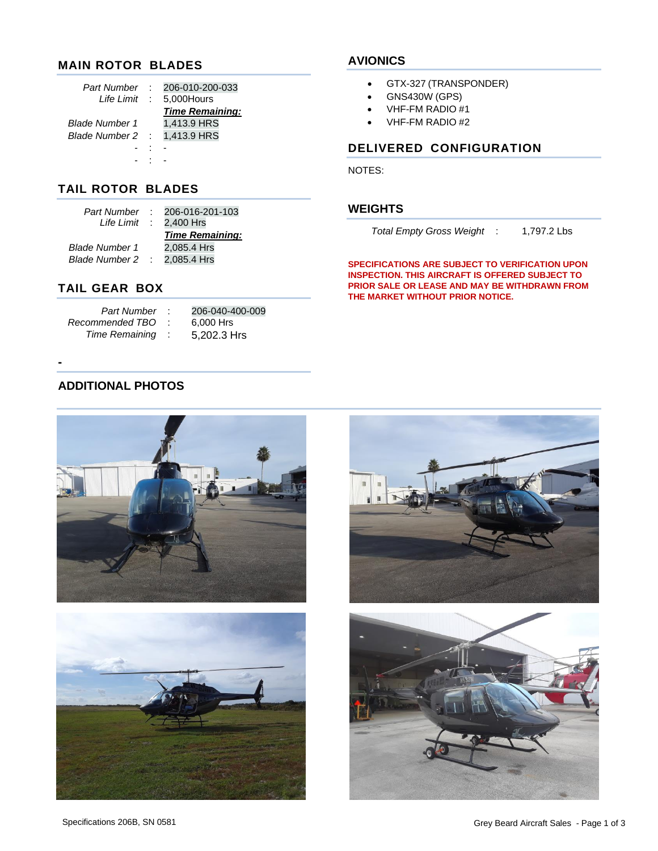## **MAIN ROTOR BLADES**

| Part Number           | 206-010-200-033        |
|-----------------------|------------------------|
| <i>Life Limit</i> :   | 5,000Hours             |
|                       | <b>Time Remaining:</b> |
| <i>Blade Number 1</i> | 1,413.9 HRS            |
| Blade Number 2 :      | 1,413.9 HRS            |
|                       |                        |
|                       |                        |

#### **AVIONICS**

- GTX-327 (TRANSPONDER)
- GNS430W (GPS)
- VHF-FM RADIO #1
- VHF-FM RADIO #2

## **DELIVERED CONFIGURATION**

**THE MARKET WITHOUT PRIOR NOTICE.**

*Total Empty Gross Weight* : 1,797.2 Lbs

**SPECIFICATIONS ARE SUBJECT TO VERIFICATION UPON INSPECTION. THIS AIRCRAFT IS OFFERED SUBJECT TO PRIOR SALE OR LEASE AND MAY BE WITHDRAWN FROM** 

NOTES:

**WEIGHTS**

## **TAIL ROTOR BLADES**

| Part Number | $: 206-016-201-103$               |
|-------------|-----------------------------------|
|             | Life Limit $\therefore$ 2,400 Hrs |
|             | <b>Time Remaining:</b>            |
|             | 2,085.4 Hrs                       |
|             | Blade Number 2 : 2,085.4 Hrs      |
|             |                                   |

## **TAIL GEAR BOX**

| Part Number     |   | 206-040-400-009 |
|-----------------|---|-----------------|
| Recommended TBO |   | 6,000 Hrs       |
| Time Remaining  | ÷ | 5,202.3 Hrs     |

## **ADDITIONAL PHOTOS**

**-**